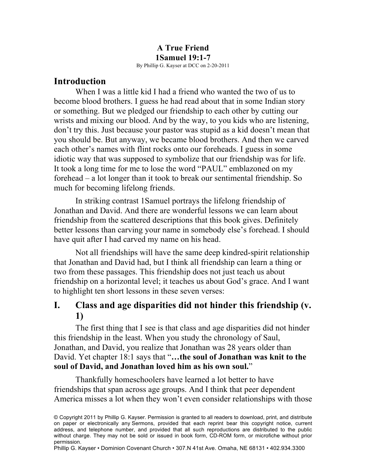# **A True Friend 1Samuel 19:1-7**

By Phillip G. Kayser at DCC on 2-20-2011

### **Introduction**

When I was a little kid I had a friend who wanted the two of us to become blood brothers. I guess he had read about that in some Indian story or something. But we pledged our friendship to each other by cutting our wrists and mixing our blood. And by the way, to you kids who are listening, don't try this. Just because your pastor was stupid as a kid doesn't mean that you should be. But anyway, we became blood brothers. And then we carved each other's names with flint rocks onto our foreheads. I guess in some idiotic way that was supposed to symbolize that our friendship was for life. It took a long time for me to lose the word "PAUL" emblazoned on my forehead – a lot longer than it took to break our sentimental friendship. So much for becoming lifelong friends.

In striking contrast 1Samuel portrays the lifelong friendship of Jonathan and David. And there are wonderful lessons we can learn about friendship from the scattered descriptions that this book gives. Definitely better lessons than carving your name in somebody else's forehead. I should have quit after I had carved my name on his head.

Not all friendships will have the same deep kindred-spirit relationship that Jonathan and David had, but I think all friendship can learn a thing or two from these passages. This friendship does not just teach us about friendship on a horizontal level; it teaches us about God's grace. And I want to highlight ten short lessons in these seven verses:

# **I. Class and age disparities did not hinder this friendship (v. 1)**

The first thing that I see is that class and age disparities did not hinder this friendship in the least. When you study the chronology of Saul, Jonathan, and David, you realize that Jonathan was 28 years older than David. Yet chapter 18:1 says that "**…the soul of Jonathan was knit to the soul of David, and Jonathan loved him as his own soul.**"

Thankfully homeschoolers have learned a lot better to have friendships that span across age groups. And I think that peer dependent America misses a lot when they won't even consider relationships with those

<sup>©</sup> Copyright 2011 by Phillip G. Kayser. Permission is granted to all readers to download, print, and distribute on paper or electronically any Sermons, provided that each reprint bear this copyright notice, current address, and telephone number, and provided that all such reproductions are distributed to the public without charge. They may not be sold or issued in book form, CD-ROM form, or microfiche without prior permission.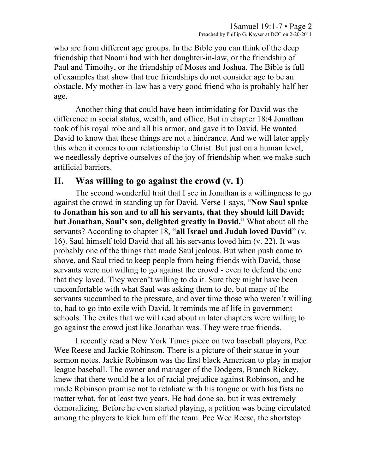who are from different age groups. In the Bible you can think of the deep friendship that Naomi had with her daughter-in-law, or the friendship of Paul and Timothy, or the friendship of Moses and Joshua. The Bible is full of examples that show that true friendships do not consider age to be an obstacle. My mother-in-law has a very good friend who is probably half her age.

Another thing that could have been intimidating for David was the difference in social status, wealth, and office. But in chapter 18:4 Jonathan took of his royal robe and all his armor, and gave it to David. He wanted David to know that these things are not a hindrance. And we will later apply this when it comes to our relationship to Christ. But just on a human level, we needlessly deprive ourselves of the joy of friendship when we make such artificial barriers.

## **II. Was willing to go against the crowd (v. 1)**

The second wonderful trait that I see in Jonathan is a willingness to go against the crowd in standing up for David. Verse 1 says, "**Now Saul spoke to Jonathan his son and to all his servants, that they should kill David; but Jonathan, Saul's son, delighted greatly in David.**" What about all the servants? According to chapter 18, "**all Israel and Judah loved David**" (v. 16). Saul himself told David that all his servants loved him (v. 22). It was probably one of the things that made Saul jealous. But when push came to shove, and Saul tried to keep people from being friends with David, those servants were not willing to go against the crowd - even to defend the one that they loved. They weren't willing to do it. Sure they might have been uncomfortable with what Saul was asking them to do, but many of the servants succumbed to the pressure, and over time those who weren't willing to, had to go into exile with David. It reminds me of life in government schools. The exiles that we will read about in later chapters were willing to go against the crowd just like Jonathan was. They were true friends.

I recently read a New York Times piece on two baseball players, Pee Wee Reese and Jackie Robinson. There is a picture of their statue in your sermon notes. Jackie Robinson was the first black American to play in major league baseball. The owner and manager of the Dodgers, Branch Rickey, knew that there would be a lot of racial prejudice against Robinson, and he made Robinson promise not to retaliate with his tongue or with his fists no matter what, for at least two years. He had done so, but it was extremely demoralizing. Before he even started playing, a petition was being circulated among the players to kick him off the team. Pee Wee Reese, the shortstop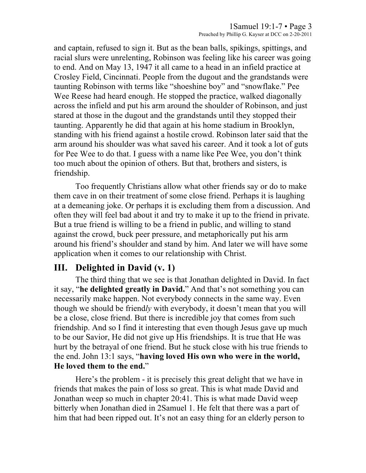and captain, refused to sign it. But as the bean balls, spikings, spittings, and racial slurs were unrelenting, Robinson was feeling like his career was going to end. And on May 13, 1947 it all came to a head in an infield practice at Crosley Field, Cincinnati. People from the dugout and the grandstands were taunting Robinson with terms like "shoeshine boy" and "snowflake." Pee Wee Reese had heard enough. He stopped the practice, walked diagonally across the infield and put his arm around the shoulder of Robinson, and just stared at those in the dugout and the grandstands until they stopped their taunting. Apparently he did that again at his home stadium in Brooklyn, standing with his friend against a hostile crowd. Robinson later said that the arm around his shoulder was what saved his career. And it took a lot of guts for Pee Wee to do that. I guess with a name like Pee Wee, you don't think too much about the opinion of others. But that, brothers and sisters, is friendship.

Too frequently Christians allow what other friends say or do to make them cave in on their treatment of some close friend. Perhaps it is laughing at a demeaning joke. Or perhaps it is excluding them from a discussion. And often they will feel bad about it and try to make it up to the friend in private. But a true friend is willing to be a friend in public, and willing to stand against the crowd, buck peer pressure, and metaphorically put his arm around his friend's shoulder and stand by him. And later we will have some application when it comes to our relationship with Christ.

## **III. Delighted in David (v. 1)**

The third thing that we see is that Jonathan delighted in David. In fact it say, "**he delighted greatly in David.**" And that's not something you can necessarily make happen. Not everybody connects in the same way. Even though we should be friend*ly* with everybody, it doesn't mean that you will be a close, close friend. But there is incredible joy that comes from such friendship. And so I find it interesting that even though Jesus gave up much to be our Savior, He did not give up His friendships. It is true that He was hurt by the betrayal of one friend. But he stuck close with his true friends to the end. John 13:1 says, "**having loved His own who were in the world, He loved them to the end.**"

Here's the problem - it is precisely this great delight that we have in friends that makes the pain of loss so great. This is what made David and Jonathan weep so much in chapter 20:41. This is what made David weep bitterly when Jonathan died in 2Samuel 1. He felt that there was a part of him that had been ripped out. It's not an easy thing for an elderly person to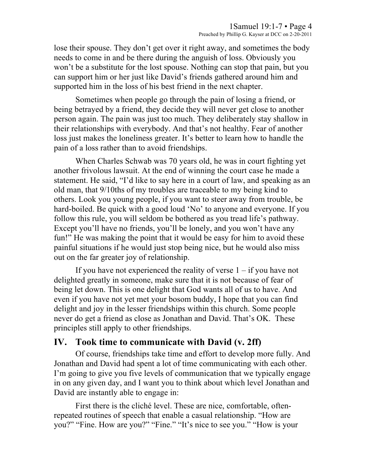lose their spouse. They don't get over it right away, and sometimes the body needs to come in and be there during the anguish of loss. Obviously you won't be a substitute for the lost spouse. Nothing can stop that pain, but you can support him or her just like David's friends gathered around him and supported him in the loss of his best friend in the next chapter.

Sometimes when people go through the pain of losing a friend, or being betrayed by a friend, they decide they will never get close to another person again. The pain was just too much. They deliberately stay shallow in their relationships with everybody. And that's not healthy. Fear of another loss just makes the loneliness greater. It's better to learn how to handle the pain of a loss rather than to avoid friendships.

When Charles Schwab was 70 years old, he was in court fighting yet another frivolous lawsuit. At the end of winning the court case he made a statement. He said, "I'd like to say here in a court of law, and speaking as an old man, that 9/10ths of my troubles are traceable to my being kind to others. Look you young people, if you want to steer away from trouble, be hard-boiled. Be quick with a good loud 'No' to anyone and everyone. If you follow this rule, you will seldom be bothered as you tread life's pathway. Except you'll have no friends, you'll be lonely, and you won't have any fun!" He was making the point that it would be easy for him to avoid these painful situations if he would just stop being nice, but he would also miss out on the far greater joy of relationship.

If you have not experienced the reality of verse  $1 - if$  you have not delighted greatly in someone, make sure that it is not because of fear of being let down. This is one delight that God wants all of us to have. And even if you have not yet met your bosom buddy, I hope that you can find delight and joy in the lesser friendships within this church. Some people never do get a friend as close as Jonathan and David. That's OK. These principles still apply to other friendships.

## **IV. Took time to communicate with David (v. 2ff)**

Of course, friendships take time and effort to develop more fully. And Jonathan and David had spent a lot of time communicating with each other. I'm going to give you five levels of communication that we typically engage in on any given day, and I want you to think about which level Jonathan and David are instantly able to engage in:

First there is the cliché level. These are nice, comfortable, oftenrepeated routines of speech that enable a casual relationship. "How are you?" "Fine. How are you?" "Fine." "It's nice to see you." "How is your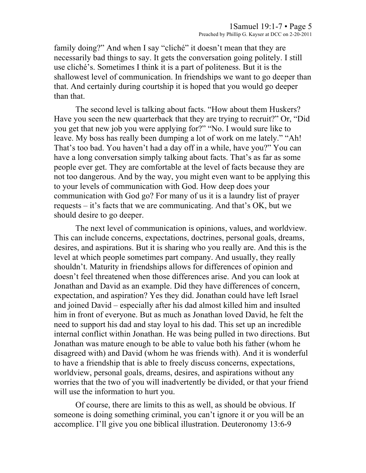family doing?" And when I say "cliché" it doesn't mean that they are necessarily bad things to say. It gets the conversation going politely. I still use cliché's. Sometimes I think it is a part of politeness. But it is the shallowest level of communication. In friendships we want to go deeper than that. And certainly during courtship it is hoped that you would go deeper than that.

The second level is talking about facts. "How about them Huskers? Have you seen the new quarterback that they are trying to recruit?" Or, "Did you get that new job you were applying for?" "No. I would sure like to leave. My boss has really been dumping a lot of work on me lately." "Ah! That's too bad. You haven't had a day off in a while, have you?" You can have a long conversation simply talking about facts. That's as far as some people ever get. They are comfortable at the level of facts because they are not too dangerous. And by the way, you might even want to be applying this to your levels of communication with God. How deep does your communication with God go? For many of us it is a laundry list of prayer requests – it's facts that we are communicating. And that's OK, but we should desire to go deeper.

The next level of communication is opinions, values, and worldview. This can include concerns, expectations, doctrines, personal goals, dreams, desires, and aspirations. But it is sharing who you really are. And this is the level at which people sometimes part company. And usually, they really shouldn't. Maturity in friendships allows for differences of opinion and doesn't feel threatened when those differences arise. And you can look at Jonathan and David as an example. Did they have differences of concern, expectation, and aspiration? Yes they did. Jonathan could have left Israel and joined David – especially after his dad almost killed him and insulted him in front of everyone. But as much as Jonathan loved David, he felt the need to support his dad and stay loyal to his dad. This set up an incredible internal conflict within Jonathan. He was being pulled in two directions. But Jonathan was mature enough to be able to value both his father (whom he disagreed with) and David (whom he was friends with). And it is wonderful to have a friendship that is able to freely discuss concerns, expectations, worldview, personal goals, dreams, desires, and aspirations without any worries that the two of you will inadvertently be divided, or that your friend will use the information to hurt you.

Of course, there are limits to this as well, as should be obvious. If someone is doing something criminal, you can't ignore it or you will be an accomplice. I'll give you one biblical illustration. Deuteronomy 13:6-9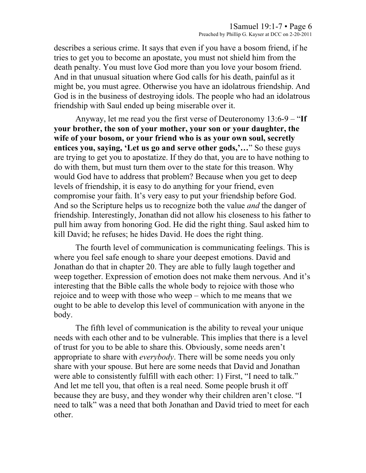describes a serious crime. It says that even if you have a bosom friend, if he tries to get you to become an apostate, you must not shield him from the death penalty. You must love God more than you love your bosom friend. And in that unusual situation where God calls for his death, painful as it might be, you must agree. Otherwise you have an idolatrous friendship. And God is in the business of destroying idols. The people who had an idolatrous friendship with Saul ended up being miserable over it.

Anyway, let me read you the first verse of Deuteronomy 13:6-9 – "**If your brother, the son of your mother, your son or your daughter, the wife of your bosom, or your friend who is as your own soul, secretly entices you, saying, 'Let us go and serve other gods,'…**" So these guys are trying to get you to apostatize. If they do that, you are to have nothing to do with them, but must turn them over to the state for this treason. Why would God have to address that problem? Because when you get to deep levels of friendship, it is easy to do anything for your friend, even compromise your faith. It's very easy to put your friendship before God. And so the Scripture helps us to recognize both the value *and* the danger of friendship. Interestingly, Jonathan did not allow his closeness to his father to pull him away from honoring God. He did the right thing. Saul asked him to kill David; he refuses; he hides David. He does the right thing.

The fourth level of communication is communicating feelings. This is where you feel safe enough to share your deepest emotions. David and Jonathan do that in chapter 20. They are able to fully laugh together and weep together. Expression of emotion does not make them nervous. And it's interesting that the Bible calls the whole body to rejoice with those who rejoice and to weep with those who weep – which to me means that we ought to be able to develop this level of communication with anyone in the body.

The fifth level of communication is the ability to reveal your unique needs with each other and to be vulnerable. This implies that there is a level of trust for you to be able to share this. Obviously, some needs aren't appropriate to share with *everybody*. There will be some needs you only share with your spouse. But here are some needs that David and Jonathan were able to consistently fulfill with each other: 1) First, "I need to talk." And let me tell you, that often is a real need. Some people brush it off because they are busy, and they wonder why their children aren't close. "I need to talk" was a need that both Jonathan and David tried to meet for each other.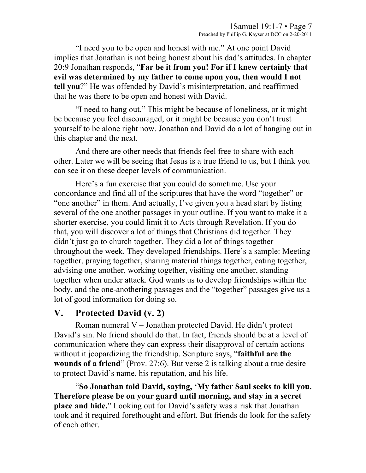"I need you to be open and honest with me." At one point David implies that Jonathan is not being honest about his dad's attitudes. In chapter 20:9 Jonathan responds, "**Far be it from you! For if I knew certainly that evil was determined by my father to come upon you, then would I not tell you**?" He was offended by David's misinterpretation, and reaffirmed that he was there to be open and honest with David.

"I need to hang out." This might be because of loneliness, or it might be because you feel discouraged, or it might be because you don't trust yourself to be alone right now. Jonathan and David do a lot of hanging out in this chapter and the next.

And there are other needs that friends feel free to share with each other. Later we will be seeing that Jesus is a true friend to us, but I think you can see it on these deeper levels of communication.

Here's a fun exercise that you could do sometime. Use your concordance and find all of the scriptures that have the word "together" or "one another" in them. And actually, I've given you a head start by listing several of the one another passages in your outline. If you want to make it a shorter exercise, you could limit it to Acts through Revelation. If you do that, you will discover a lot of things that Christians did together. They didn't just go to church together. They did a lot of things together throughout the week. They developed friendships. Here's a sample: Meeting together, praying together, sharing material things together, eating together, advising one another, working together, visiting one another, standing together when under attack. God wants us to develop friendships within the body, and the one-anothering passages and the "together" passages give us a lot of good information for doing so.

## **V. Protected David (v. 2)**

Roman numeral V – Jonathan protected David. He didn't protect David's sin. No friend should do that. In fact, friends should be at a level of communication where they can express their disapproval of certain actions without it jeopardizing the friendship. Scripture says, "**faithful are the wounds of a friend**" (Prov. 27:6). But verse 2 is talking about a true desire to protect David's name, his reputation, and his life.

"**So Jonathan told David, saying, 'My father Saul seeks to kill you. Therefore please be on your guard until morning, and stay in a secret place and hide.**" Looking out for David's safety was a risk that Jonathan took and it required forethought and effort. But friends do look for the safety of each other.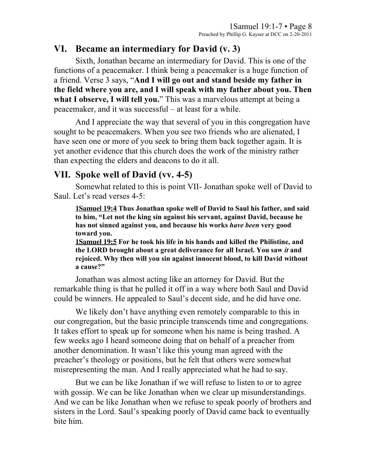## **VI. Became an intermediary for David (v. 3)**

Sixth, Jonathan became an intermediary for David. This is one of the functions of a peacemaker. I think being a peacemaker is a huge function of a friend. Verse 3 says, "**And I will go out and stand beside my father in the field where you are, and I will speak with my father about you. Then**  what I observe, I will tell you." This was a marvelous attempt at being a peacemaker, and it was successful – at least for a while.

And I appreciate the way that several of you in this congregation have sought to be peacemakers. When you see two friends who are alienated, I have seen one or more of you seek to bring them back together again. It is yet another evidence that this church does the work of the ministry rather than expecting the elders and deacons to do it all.

# **VII. Spoke well of David (vv. 4-5)**

Somewhat related to this is point VII- Jonathan spoke well of David to Saul. Let's read verses 4-5:

**1Samuel 19:4 Thus Jonathan spoke well of David to Saul his father, and said to him, "Let not the king sin against his servant, against David, because he has not sinned against you, and because his works** *have been* **very good toward you.** 

**1Samuel 19:5 For he took his life in his hands and killed the Philistine, and the LORD brought about a great deliverance for all Israel. You saw** *it* **and rejoiced. Why then will you sin against innocent blood, to kill David without a cause?"** 

Jonathan was almost acting like an attorney for David. But the remarkable thing is that he pulled it off in a way where both Saul and David could be winners. He appealed to Saul's decent side, and he did have one.

We likely don't have anything even remotely comparable to this in our congregation, but the basic principle transcends time and congregations. It takes effort to speak up for someone when his name is being trashed. A few weeks ago I heard someone doing that on behalf of a preacher from another denomination. It wasn't like this young man agreed with the preacher's theology or positions, but he felt that others were somewhat misrepresenting the man. And I really appreciated what he had to say.

But we can be like Jonathan if we will refuse to listen to or to agree with gossip. We can be like Jonathan when we clear up misunderstandings. And we can be like Jonathan when we refuse to speak poorly of brothers and sisters in the Lord. Saul's speaking poorly of David came back to eventually bite him.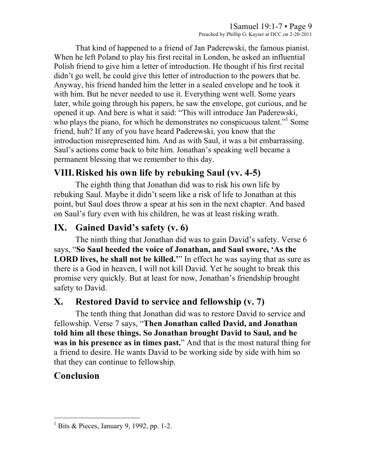That kind of happened to a friend of Jan Paderewski, the famous pianist. When he left Poland to play his first recital in London, he asked an influential Polish friend to give him a letter of introduction. He thought if his first recital didn't go well, he could give this letter of introduction to the powers that be. Anyway, his friend handed him the letter in a sealed envelope and he took it with him. But he never needed to use it. Everything went well. Some years later, while going through his papers, he saw the envelope, got curious, and he opened it up. And here is what it said: "This will introduce Jan Paderewski, who plays the piano, for which he demonstrates no conspicuous talent."<sup>1</sup> Some friend, huh? If any of you have heard Paderewski, you know that the introduction misrepresented him. And as with Saul, it was a bit embarrassing. Saul's actions come back to bite him. Jonathan's speaking well became a permanent blessing that we remember to this day.

# **VIII.Risked his own life by rebuking Saul (vv. 4-5)**

The eighth thing that Jonathan did was to risk his own life by rebuking Saul. Maybe it didn't seem like a risk of life to Jonathan at this point, but Saul does throw a spear at his son in the next chapter. And based on Saul's fury even with his children, he was at least risking wrath.

# **IX. Gained David's safety (v. 6)**

The ninth thing that Jonathan did was to gain David's safety. Verse 6 says, "**So Saul heeded the voice of Jonathan, and Saul swore, 'As the LORD lives, he shall not be killed.'**" In effect he was saying that as sure as there is a God in heaven, I will not kill David. Yet he sought to break this promise very quickly. But at least for now, Jonathan's friendship brought safety to David.

# **X. Restored David to service and fellowship (v. 7)**

The tenth thing that Jonathan did was to restore David to service and fellowship. Verse 7 says, "**Then Jonathan called David, and Jonathan told him all these things. So Jonathan brought David to Saul, and he was in his presence as in times past.**" And that is the most natural thing for a friend to desire. He wants David to be working side by side with him so that they can continue to fellowship.

# **Conclusion**

 $\frac{1}{1}$  $\frac{1}{1}$  Bits & Pieces, January 9, 1992, pp. 1-2.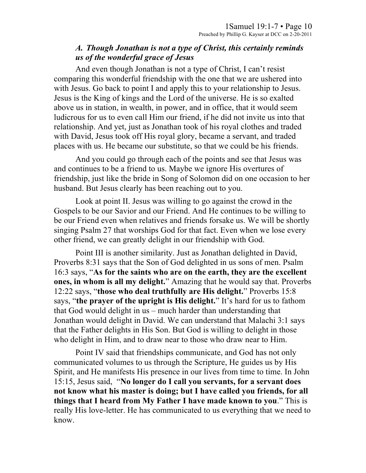### *A. Though Jonathan is not a type of Christ, this certainly reminds us of the wonderful grace of Jesus*

And even though Jonathan is not a type of Christ, I can't resist comparing this wonderful friendship with the one that we are ushered into with Jesus. Go back to point I and apply this to your relationship to Jesus. Jesus is the King of kings and the Lord of the universe. He is so exalted above us in station, in wealth, in power, and in office, that it would seem ludicrous for us to even call Him our friend, if he did not invite us into that relationship. And yet, just as Jonathan took of his royal clothes and traded with David, Jesus took off His royal glory, became a servant, and traded places with us. He became our substitute, so that we could be his friends.

And you could go through each of the points and see that Jesus was and continues to be a friend to us. Maybe we ignore His overtures of friendship, just like the bride in Song of Solomon did on one occasion to her husband. But Jesus clearly has been reaching out to you.

Look at point II. Jesus was willing to go against the crowd in the Gospels to be our Savior and our Friend. And He continues to be willing to be our Friend even when relatives and friends forsake us. We will be shortly singing Psalm 27 that worships God for that fact. Even when we lose every other friend, we can greatly delight in our friendship with God.

Point III is another similarity. Just as Jonathan delighted in David, Proverbs 8:31 says that the Son of God delighted in us sons of men. Psalm 16:3 says, "**As for the saints who are on the earth, they are the excellent ones, in whom is all my delight.**" Amazing that he would say that. Proverbs 12:22 says, "**those who deal truthfully are His delight.**" Proverbs 15:8 says, "**the prayer of the upright is His delight.**" It's hard for us to fathom that God would delight in us – much harder than understanding that Jonathan would delight in David. We can understand that Malachi 3:1 says that the Father delights in His Son. But God is willing to delight in those who delight in Him, and to draw near to those who draw near to Him.

Point IV said that friendships communicate, and God has not only communicated volumes to us through the Scripture, He guides us by His Spirit, and He manifests His presence in our lives from time to time. In John 15:15, Jesus said, "**No longer do I call you servants, for a servant does not know what his master is doing; but I have called you friends, for all things that I heard from My Father I have made known to you**." This is really His love-letter. He has communicated to us everything that we need to know.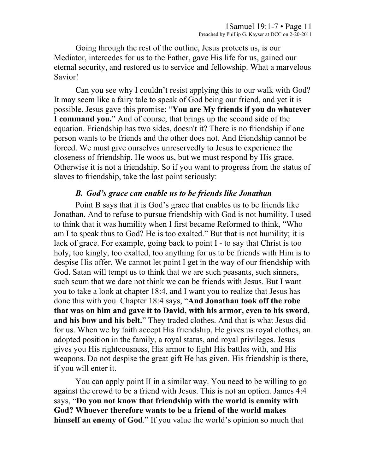Going through the rest of the outline, Jesus protects us, is our Mediator, intercedes for us to the Father, gave His life for us, gained our eternal security, and restored us to service and fellowship. What a marvelous Savior!

Can you see why I couldn't resist applying this to our walk with God? It may seem like a fairy tale to speak of God being our friend, and yet it is possible. Jesus gave this promise: "**You are My friends if you do whatever I command you.**" And of course, that brings up the second side of the equation. Friendship has two sides, doesn't it? There is no friendship if one person wants to be friends and the other does not. And friendship cannot be forced. We must give ourselves unreservedly to Jesus to experience the closeness of friendship. He woos us, but we must respond by His grace. Otherwise it is not a friendship. So if you want to progress from the status of slaves to friendship, take the last point seriously:

#### *B. God's grace can enable us to be friends like Jonathan*

Point B says that it is God's grace that enables us to be friends like Jonathan. And to refuse to pursue friendship with God is not humility. I used to think that it was humility when I first became Reformed to think, "Who am I to speak thus to God? He is too exalted." But that is not humility; it is lack of grace. For example, going back to point I - to say that Christ is too holy, too kingly, too exalted, too anything for us to be friends with Him is to despise His offer. We cannot let point I get in the way of our friendship with God. Satan will tempt us to think that we are such peasants, such sinners, such scum that we dare not think we can be friends with Jesus. But I want you to take a look at chapter 18:4, and I want you to realize that Jesus has done this with you. Chapter 18:4 says, "**And Jonathan took off the robe that was on him and gave it to David, with his armor, even to his sword, and his bow and his belt.**" They traded clothes. And that is what Jesus did for us. When we by faith accept His friendship, He gives us royal clothes, an adopted position in the family, a royal status, and royal privileges. Jesus gives you His righteousness, His armor to fight His battles with, and His weapons. Do not despise the great gift He has given. His friendship is there, if you will enter it.

You can apply point II in a similar way. You need to be willing to go against the crowd to be a friend with Jesus. This is not an option. James 4:4 says, "**Do you not know that friendship with the world is enmity with God? Whoever therefore wants to be a friend of the world makes himself an enemy of God**." If you value the world's opinion so much that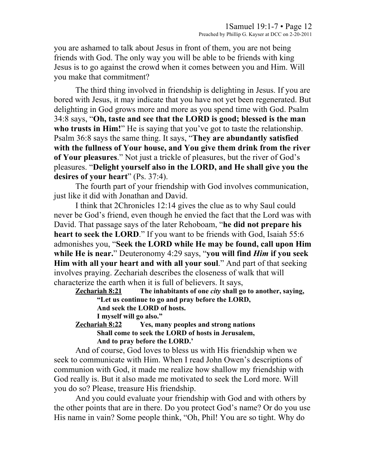you are ashamed to talk about Jesus in front of them, you are not being friends with God. The only way you will be able to be friends with king Jesus is to go against the crowd when it comes between you and Him. Will you make that commitment?

The third thing involved in friendship is delighting in Jesus. If you are bored with Jesus, it may indicate that you have not yet been regenerated. But delighting in God grows more and more as you spend time with God. Psalm 34:8 says, "**Oh, taste and see that the LORD is good; blessed is the man who trusts in Him!**" He is saying that you've got to taste the relationship. Psalm 36:8 says the same thing. It says, "**They are abundantly satisfied with the fullness of Your house, and You give them drink from the river of Your pleasures**." Not just a trickle of pleasures, but the river of God's pleasures. "**Delight yourself also in the LORD, and He shall give you the desires of your heart**" (Ps. 37:4).

The fourth part of your friendship with God involves communication, just like it did with Jonathan and David.

I think that 2Chronicles 12:14 gives the clue as to why Saul could never be God's friend, even though he envied the fact that the Lord was with David. That passage says of the later Rehoboam, "**he did not prepare his heart to seek the LORD**." If you want to be friends with God, Isaiah 55:6 admonishes you, "**Seek the LORD while He may be found, call upon Him while He is near.**" Deuteronomy 4:29 says, "**you will find** *Him* **if you seek Him with all your heart and with all your soul**." And part of that seeking involves praying. Zechariah describes the closeness of walk that will characterize the earth when it is full of believers. It says,

**Zechariah 8:21 The inhabitants of one** *city* **shall go to another, saying, "Let us continue to go and pray before the LORD, And seek the LORD of hosts. I myself will go also."** 

**Zechariah 8:22 Yes, many peoples and strong nations Shall come to seek the LORD of hosts in Jerusalem, And to pray before the LORD.'** 

And of course, God loves to bless us with His friendship when we seek to communicate with Him. When I read John Owen's descriptions of communion with God, it made me realize how shallow my friendship with God really is. But it also made me motivated to seek the Lord more. Will you do so? Please, treasure His friendship.

And you could evaluate your friendship with God and with others by the other points that are in there. Do you protect God's name? Or do you use His name in vain? Some people think, "Oh, Phil! You are so tight. Why do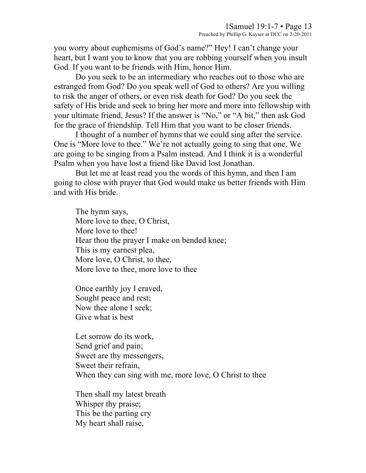you worry about euphemisms of God's name?" Hey! I can't change your heart, but I want you to know that you are robbing yourself when you insult God. If you want to be friends with Him, honor Him.

Do you seek to be an intermediary who reaches out to those who are estranged from God? Do you speak well of God to others? Are you willing to risk the anger of others, or even risk death for God? Do you seek the safety of His bride and seek to bring her more and more into fellowship with your ultimate friend, Jesus? If the answer is "No," or "A bit," then ask God for the grace of friendship. Tell Him that you want to be closer friends.

I thought of a number of hymns that we could sing after the service. One is "More love to thee." We're not actually going to sing that one. We are going to be singing from a Psalm instead. And I think it is a wonderful Psalm when you have lost a friend like David lost Jonathan.

But let me at least read you the words of this hymn, and then I am going to close with prayer that God would make us better friends with Him and with His bride.

The hymn says, More love to thee, O Christ, More love to thee! Hear thou the prayer I make on bended knee; This is my earnest plea, More love, O Christ, to thee, More love to thee, more love to thee

Once earthly joy I craved, Sought peace and rest; Now thee alone I seek; Give what is best

Let sorrow do its work, Send grief and pain; Sweet are thy messengers, Sweet their refrain, When they can sing with me, more love, O Christ to thee

Then shall my latest breath Whisper thy praise; This be the parting cry My heart shall raise,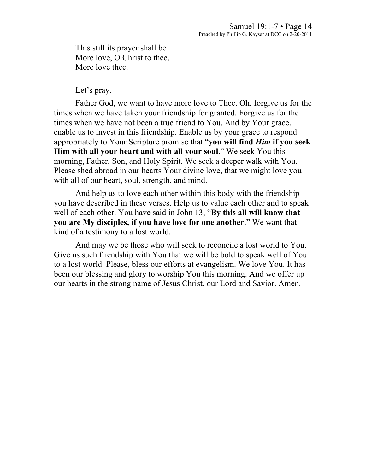This still its prayer shall be More love, O Christ to thee, More love thee.

#### Let's pray.

Father God, we want to have more love to Thee. Oh, forgive us for the times when we have taken your friendship for granted. Forgive us for the times when we have not been a true friend to You. And by Your grace, enable us to invest in this friendship. Enable us by your grace to respond appropriately to Your Scripture promise that "**you will find** *Him* **if you seek Him with all your heart and with all your soul**." We seek You this morning, Father, Son, and Holy Spirit. We seek a deeper walk with You. Please shed abroad in our hearts Your divine love, that we might love you with all of our heart, soul, strength, and mind.

And help us to love each other within this body with the friendship you have described in these verses. Help us to value each other and to speak well of each other. You have said in John 13, "**By this all will know that you are My disciples, if you have love for one another**." We want that kind of a testimony to a lost world.

And may we be those who will seek to reconcile a lost world to You. Give us such friendship with You that we will be bold to speak well of You to a lost world. Please, bless our efforts at evangelism. We love You. It has been our blessing and glory to worship You this morning. And we offer up our hearts in the strong name of Jesus Christ, our Lord and Savior. Amen.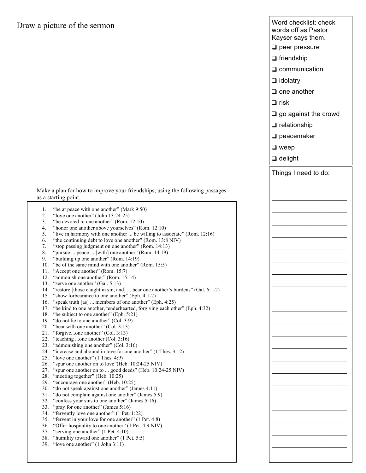### Draw a picture of the sermon

Make a plan for how to improve your friendships, using the following passages as a starting point.

| 1.  | "be at peace with one another" (Mark 9:50)                                    |
|-----|-------------------------------------------------------------------------------|
| 2.  | "love one another" (John $13:24-25$ )                                         |
| 3.  | "be devoted to one another" (Rom. 12:10)                                      |
| 4.  | "honor one another above yourselves" (Rom. 12:10)                             |
| 5.  | "live in harmony with one another  be willing to associate" (Rom. $12:16$ )   |
| 6.  | "the continuing debt to love one another" (Rom. 13:8 NIV)                     |
| 7.  | "stop passing judgment on one another" (Rom. 14:13)                           |
| 8.  | "pursue  peace  [with] one another" (Rom. 14:19)                              |
| 9.  | "building up one another" (Rom. 14:19)                                        |
| 10. | "be of the same mind with one another" (Rom. 15:5)                            |
| 11. | "Accept one another" (Rom. 15:7)                                              |
| 12. | "admonish one another" (Rom. 15:14)                                           |
| 13. | "serve one another" (Gal. 5:13)                                               |
| 14. | "restore [those caught in sin, and]  bear one another's burdens" (Gal. 6:1-2) |
| 15. | "show forbearance to one another" (Eph. 4:1-2)                                |
| 16. | "speak truth [as]  members of one another" (Eph. 4:25)                        |
| 17. | "be kind to one another, tenderhearted, forgiving each other" (Eph. 4:32)     |
| 18. | "be subject to one another" (Eph. 5:21)                                       |
| 19. | "do not lie to one another" (Col. 3:9)                                        |
| 20. | "bear with one another" (Col. 3:13)                                           |
| 21. | "forgiveone another" (Col. 3:13)                                              |
| 22. | "teaching one another (Col. 3:16)                                             |
| 23. | "admonishing one another" (Col. 3:16)                                         |
| 24. | "increase and abound in love for one another" (1 Thes. 3:12)                  |
| 25. | "love one another" $(1$ Thes. 4:9)                                            |
| 26. | "spur one another on to love" (Heb. 10:24-25 NIV)                             |
| 27. | "spur one another on to  good deeds" (Heb. 10:24-25 NIV)                      |
| 28. | "meeting together" (Heb. 10:25)                                               |
| 29. | "encourage one another" (Heb. 10:25)                                          |
| 30. | "do not speak against one another" (James 4:11)                               |
| 31. | "do not complain against one another" (James 5:9)                             |
| 32. | "confess your sins to one another" (James 5:16)                               |
| 33. | "pray for one another" (James 5:16)                                           |
| 34. | "fervently love one another" (1 Pet. 1:22)                                    |
| 35. | "fervent in your love for one another" (1 Pet. 4:8)                           |
| 36. | "Offer hospitality to one another" (1 Pet. 4:9 NIV)                           |
| 37. | "serving one another" (1 Pet. 4:10)                                           |
| 38. | "humility toward one another" (1 Pet. 5:5)                                    |
|     |                                                                               |

<sup>39.</sup> "love one another" (1 John 3:11)

word crieckist. Crieckist<br>
words off as Pastor **Preached by Accept Accept** Contract Contract Contract Contract Contract Contract Contract Contract Contract Contra<br>Kayser says them. Things I need to do:  $\overline{\phantom{a}}$  , where  $\overline{\phantom{a}}$  , where  $\overline{\phantom{a}}$  $\mathcal{L}_\text{max}$  $\mathcal{L}_\text{max}$  $\mathcal{L}_\text{max}$  $\mathcal{L}_\text{max}$  $\overline{\phantom{a}}$  , where  $\overline{\phantom{a}}$  , where  $\overline{\phantom{a}}$  $\overline{\phantom{a}}$  , where  $\overline{\phantom{a}}$  , where  $\overline{\phantom{a}}$  $\overline{\phantom{a}}$  , where  $\overline{\phantom{a}}$  , where  $\overline{\phantom{a}}$  $\mathcal{L}_\text{max}$  $\mathcal{L}_\text{max}$  $\overline{\phantom{a}}$  , where  $\overline{\phantom{a}}$  , where  $\overline{\phantom{a}}$  $\overline{\phantom{a}}$  , where  $\overline{\phantom{a}}$  , where  $\overline{\phantom{a}}$  $\overline{\phantom{a}}$  , where  $\overline{\phantom{a}}$  , where  $\overline{\phantom{a}}$  $\overline{\phantom{a}}$  , where  $\overline{\phantom{a}}$  , where  $\overline{\phantom{a}}$  $\overline{\phantom{a}}$  , where  $\overline{\phantom{a}}$  , where  $\overline{\phantom{a}}$  $\overline{\phantom{a}}$  , where  $\overline{\phantom{a}}$  , where  $\overline{\phantom{a}}$  $\overline{\phantom{a}}$  , where  $\overline{\phantom{a}}$  , where  $\overline{\phantom{a}}$  $\overline{\phantom{a}}$  , where  $\overline{\phantom{a}}$  , where  $\overline{\phantom{a}}$  $\overline{\phantom{a}}$  , where  $\overline{\phantom{a}}$  , where  $\overline{\phantom{a}}$  $\overline{\phantom{a}}$  , where  $\overline{\phantom{a}}$  , where  $\overline{\phantom{a}}$  $\overline{\phantom{a}}$  , where  $\overline{\phantom{a}}$  , where  $\overline{\phantom{a}}$  $\overline{\phantom{a}}$  , where  $\overline{\phantom{a}}$  , where  $\overline{\phantom{a}}$ Word checklist: check ❑ peer pressure ❑ friendship ❑ communication ❑ idolatry ❑ one another ❑ risk ❑ go against the crowd ❑ relationship ❑ peacemaker ❑ weep ❑ delight